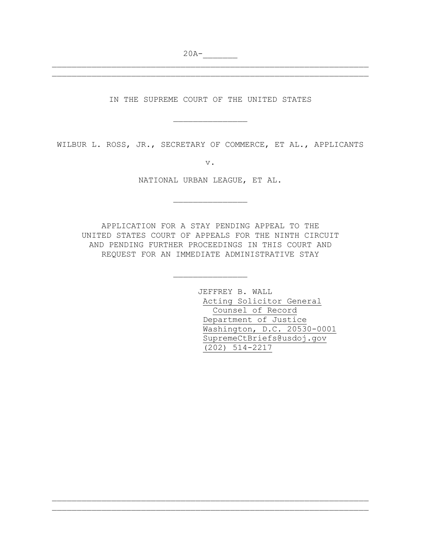$20A-$ 

IN THE SUPREME COURT OF THE UNITED STATES

\_\_\_\_\_\_\_\_\_\_\_\_\_\_\_

\_\_\_\_\_\_\_\_\_\_\_\_\_\_\_\_\_\_\_\_\_\_\_\_\_\_\_\_\_\_\_\_\_\_\_\_\_\_\_\_\_\_\_\_\_\_\_\_\_\_\_\_\_\_\_\_\_\_\_\_\_\_\_\_ \_\_\_\_\_\_\_\_\_\_\_\_\_\_\_\_\_\_\_\_\_\_\_\_\_\_\_\_\_\_\_\_\_\_\_\_\_\_\_\_\_\_\_\_\_\_\_\_\_\_\_\_\_\_\_\_\_\_\_\_\_\_\_\_

WILBUR L. ROSS, JR., SECRETARY OF COMMERCE, ET AL., APPLICANTS

v.

NATIONAL URBAN LEAGUE, ET AL.

\_\_\_\_\_\_\_\_\_\_\_\_\_\_\_

APPLICATION FOR A STAY PENDING APPEAL TO THE UNITED STATES COURT OF APPEALS FOR THE NINTH CIRCUIT AND PENDING FURTHER PROCEEDINGS IN THIS COURT AND REQUEST FOR AN IMMEDIATE ADMINISTRATIVE STAY

\_\_\_\_\_\_\_\_\_\_\_\_\_\_\_

\_\_\_\_\_\_\_\_\_\_\_\_\_\_\_\_\_\_\_\_\_\_\_\_\_\_\_\_\_\_\_\_\_\_\_\_\_\_\_\_\_\_\_\_\_\_\_\_\_\_\_\_\_\_\_\_\_\_\_\_\_\_\_\_ \_\_\_\_\_\_\_\_\_\_\_\_\_\_\_\_\_\_\_\_\_\_\_\_\_\_\_\_\_\_\_\_\_\_\_\_\_\_\_\_\_\_\_\_\_\_\_\_\_\_\_\_\_\_\_\_\_\_\_\_\_\_\_\_

JEFFREY B. WALL Acting Solicitor General Counsel of Record Department of Justice Washington, D.C. 20530-0001 SupremeCtBriefs@usdoj.gov (202) 514-2217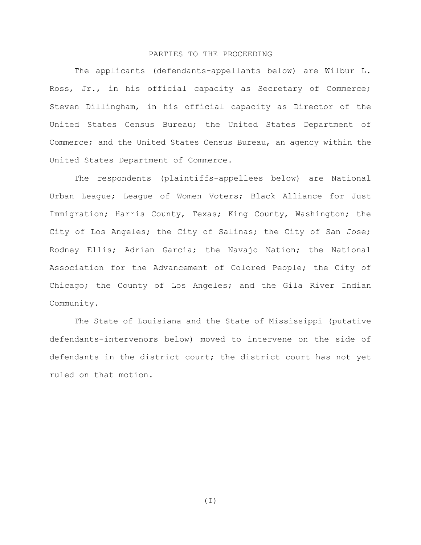## PARTIES TO THE PROCEEDING

The applicants (defendants-appellants below) are Wilbur L. Ross, Jr., in his official capacity as Secretary of Commerce; Steven Dillingham, in his official capacity as Director of the United States Census Bureau; the United States Department of Commerce; and the United States Census Bureau, an agency within the United States Department of Commerce.

The respondents (plaintiffs-appellees below) are National Urban League; League of Women Voters; Black Alliance for Just Immigration; Harris County, Texas; King County, Washington; the City of Los Angeles; the City of Salinas; the City of San Jose; Rodney Ellis; Adrian Garcia; the Navajo Nation; the National Association for the Advancement of Colored People; the City of Chicago; the County of Los Angeles; and the Gila River Indian Community.

The State of Louisiana and the State of Mississippi (putative defendants-intervenors below) moved to intervene on the side of defendants in the district court; the district court has not yet ruled on that motion.

(I)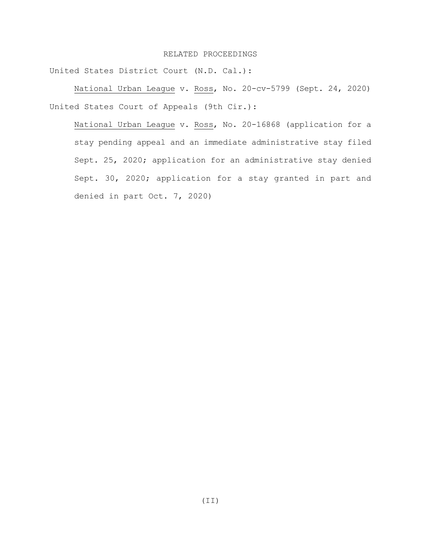### RELATED PROCEEDINGS

United States District Court (N.D. Cal.):

National Urban League v. Ross, No. 20-cv-5799 (Sept. 24, 2020) United States Court of Appeals (9th Cir.):

National Urban League v. Ross, No. 20-16868 (application for a stay pending appeal and an immediate administrative stay filed Sept. 25, 2020; application for an administrative stay denied Sept. 30, 2020; application for a stay granted in part and denied in part Oct. 7, 2020)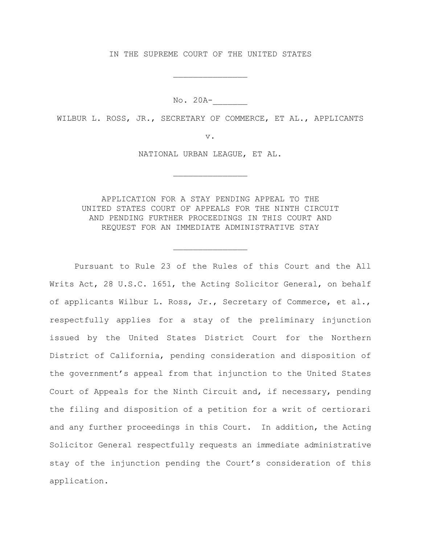### IN THE SUPREME COURT OF THE UNITED STATES

\_\_\_\_\_\_\_\_\_\_\_\_\_\_\_

No. 20A-\_\_\_\_\_\_\_

WILBUR L. ROSS, JR., SECRETARY OF COMMERCE, ET AL., APPLICANTS

v.

NATIONAL URBAN LEAGUE, ET AL.

\_\_\_\_\_\_\_\_\_\_\_\_\_\_\_

APPLICATION FOR A STAY PENDING APPEAL TO THE UNITED STATES COURT OF APPEALS FOR THE NINTH CIRCUIT AND PENDING FURTHER PROCEEDINGS IN THIS COURT AND REQUEST FOR AN IMMEDIATE ADMINISTRATIVE STAY

\_\_\_\_\_\_\_\_\_\_\_\_\_\_\_

Pursuant to Rule 23 of the Rules of this Court and the All Writs Act, 28 U.S.C. 1651, the Acting Solicitor General, on behalf of applicants Wilbur L. Ross, Jr., Secretary of Commerce, et al., respectfully applies for a stay of the preliminary injunction issued by the United States District Court for the Northern District of California, pending consideration and disposition of the government's appeal from that injunction to the United States Court of Appeals for the Ninth Circuit and, if necessary, pending the filing and disposition of a petition for a writ of certiorari and any further proceedings in this Court. In addition, the Acting Solicitor General respectfully requests an immediate administrative stay of the injunction pending the Court's consideration of this application.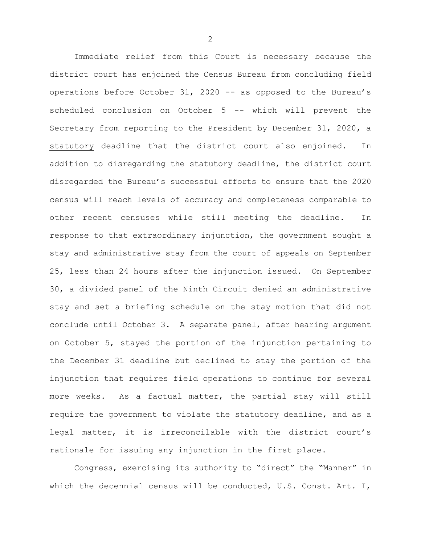Immediate relief from this Court is necessary because the district court has enjoined the Census Bureau from concluding field operations before October 31, 2020 -- as opposed to the Bureau's scheduled conclusion on October 5 -- which will prevent the Secretary from reporting to the President by December 31, 2020, a statutory deadline that the district court also enjoined. In addition to disregarding the statutory deadline, the district court disregarded the Bureau's successful efforts to ensure that the 2020 census will reach levels of accuracy and completeness comparable to other recent censuses while still meeting the deadline. In response to that extraordinary injunction, the government sought a stay and administrative stay from the court of appeals on September 25, less than 24 hours after the injunction issued. On September 30, a divided panel of the Ninth Circuit denied an administrative stay and set a briefing schedule on the stay motion that did not conclude until October 3. A separate panel, after hearing argument on October 5, stayed the portion of the injunction pertaining to the December 31 deadline but declined to stay the portion of the injunction that requires field operations to continue for several more weeks. As a factual matter, the partial stay will still require the government to violate the statutory deadline, and as a legal matter, it is irreconcilable with the district court's rationale for issuing any injunction in the first place.

Congress, exercising its authority to "direct" the "Manner" in which the decennial census will be conducted, U.S. Const. Art. I,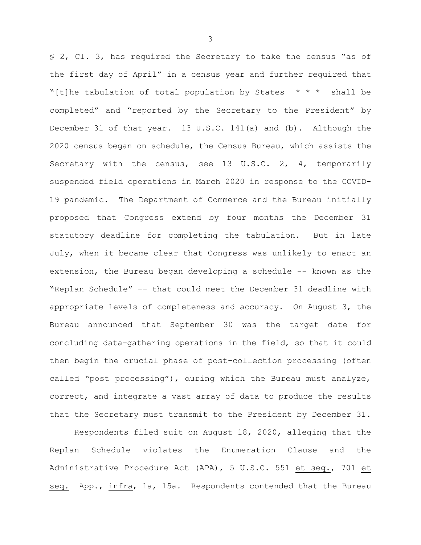§ 2, Cl. 3, has required the Secretary to take the census "as of the first day of April" in a census year and further required that "[t]he tabulation of total population by States  $* * *$  shall be completed" and "reported by the Secretary to the President" by December 31 of that year. 13 U.S.C. 141(a) and (b). Although the 2020 census began on schedule, the Census Bureau, which assists the Secretary with the census, see 13 U.S.C. 2, 4, temporarily suspended field operations in March 2020 in response to the COVID-19 pandemic. The Department of Commerce and the Bureau initially proposed that Congress extend by four months the December 31 statutory deadline for completing the tabulation. But in late July, when it became clear that Congress was unlikely to enact an extension, the Bureau began developing a schedule -- known as the "Replan Schedule" -- that could meet the December 31 deadline with appropriate levels of completeness and accuracy. On August 3, the Bureau announced that September 30 was the target date for concluding data-gathering operations in the field, so that it could then begin the crucial phase of post-collection processing (often called "post processing"), during which the Bureau must analyze, correct, and integrate a vast array of data to produce the results that the Secretary must transmit to the President by December 31.

Respondents filed suit on August 18, 2020, alleging that the Replan Schedule violates the Enumeration Clause and the Administrative Procedure Act (APA), 5 U.S.C. 551 et seq., 701 et seq. App., infra, 1a, 15a. Respondents contended that the Bureau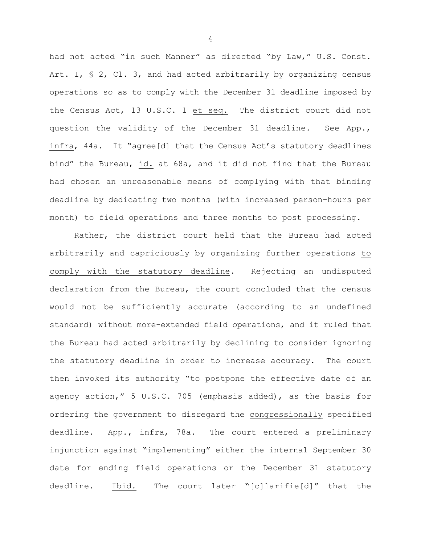had not acted "in such Manner" as directed "by Law," U.S. Const. Art. I,  $\leq 2$ , Cl. 3, and had acted arbitrarily by organizing census operations so as to comply with the December 31 deadline imposed by the Census Act, 13 U.S.C. 1 et seq. The district court did not question the validity of the December 31 deadline. See App., infra, 44a. It "agree[d] that the Census Act's statutory deadlines bind" the Bureau, id. at 68a, and it did not find that the Bureau had chosen an unreasonable means of complying with that binding deadline by dedicating two months (with increased person-hours per month) to field operations and three months to post processing.

Rather, the district court held that the Bureau had acted arbitrarily and capriciously by organizing further operations to comply with the statutory deadline. Rejecting an undisputed declaration from the Bureau, the court concluded that the census would not be sufficiently accurate (according to an undefined standard) without more-extended field operations, and it ruled that the Bureau had acted arbitrarily by declining to consider ignoring the statutory deadline in order to increase accuracy. The court then invoked its authority "to postpone the effective date of an agency action," 5 U.S.C. 705 (emphasis added), as the basis for ordering the government to disregard the congressionally specified deadline. App., infra, 78a. The court entered a preliminary injunction against "implementing" either the internal September 30 date for ending field operations or the December 31 statutory deadline. Ibid. The court later "[c]larifie[d]" that the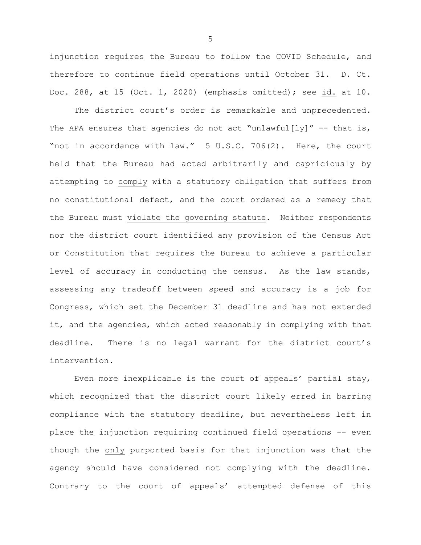injunction requires the Bureau to follow the COVID Schedule, and therefore to continue field operations until October 31. D. Ct. Doc. 288, at 15 (Oct. 1, 2020) (emphasis omitted); see id. at 10.

The district court's order is remarkable and unprecedented. The APA ensures that agencies do not act "unlawful[ly]"  $-$  that is, "not in accordance with law." 5 U.S.C. 706(2). Here, the court held that the Bureau had acted arbitrarily and capriciously by attempting to comply with a statutory obligation that suffers from no constitutional defect, and the court ordered as a remedy that the Bureau must violate the governing statute. Neither respondents nor the district court identified any provision of the Census Act or Constitution that requires the Bureau to achieve a particular level of accuracy in conducting the census. As the law stands, assessing any tradeoff between speed and accuracy is a job for Congress, which set the December 31 deadline and has not extended it, and the agencies, which acted reasonably in complying with that deadline. There is no legal warrant for the district court's intervention.

Even more inexplicable is the court of appeals' partial stay, which recognized that the district court likely erred in barring compliance with the statutory deadline, but nevertheless left in place the injunction requiring continued field operations -- even though the only purported basis for that injunction was that the agency should have considered not complying with the deadline. Contrary to the court of appeals' attempted defense of this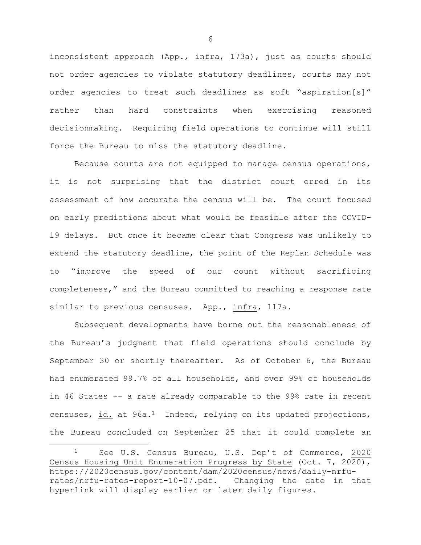inconsistent approach (App., infra, 173a), just as courts should not order agencies to violate statutory deadlines, courts may not order agencies to treat such deadlines as soft "aspiration[s]" rather than hard constraints when exercising reasoned decisionmaking. Requiring field operations to continue will still force the Bureau to miss the statutory deadline.

Because courts are not equipped to manage census operations, it is not surprising that the district court erred in its assessment of how accurate the census will be. The court focused on early predictions about what would be feasible after the COVID-19 delays. But once it became clear that Congress was unlikely to extend the statutory deadline, the point of the Replan Schedule was to "improve the speed of our count without sacrificing completeness," and the Bureau committed to reaching a response rate similar to previous censuses. App., infra, 117a.

Subsequent developments have borne out the reasonableness of the Bureau's judgment that field operations should conclude by September 30 or shortly thereafter. As of October 6, the Bureau had enumerated 99.7% of all households, and over 99% of households in 46 States -- a rate already comparable to the 99% rate in recent censuses, id. at  $96a.1$  Indeed, relying on its updated projections, the Bureau concluded on September 25 that it could complete an

 $\overline{a}$ 

<sup>1</sup> See U.S. Census Bureau, U.S. Dep't of Commerce, 2020 Census Housing Unit Enumeration Progress by State (Oct. 7, 2020), https://2020census.gov/content/dam/2020census/news/daily-nrfurates/nrfu-rates-report-10-07.pdf. Changing the date in that hyperlink will display earlier or later daily figures.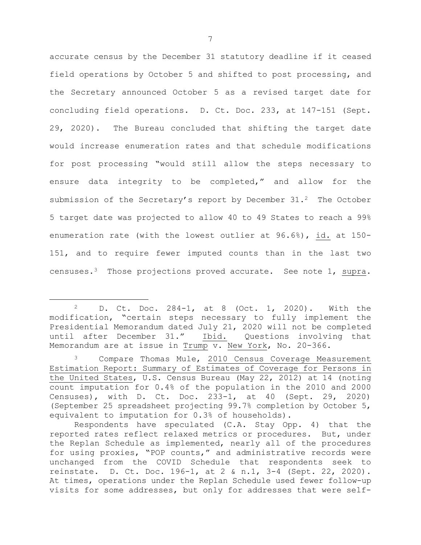accurate census by the December 31 statutory deadline if it ceased field operations by October 5 and shifted to post processing, and the Secretary announced October 5 as a revised target date for concluding field operations. D. Ct. Doc. 233, at 147-151 (Sept. 29, 2020). The Bureau concluded that shifting the target date would increase enumeration rates and that schedule modifications for post processing "would still allow the steps necessary to ensure data integrity to be completed," and allow for the submission of the Secretary's report by December  $31.^2$  The October 5 target date was projected to allow 40 to 49 States to reach a 99% enumeration rate (with the lowest outlier at 96.6%), id. at 150- 151, and to require fewer imputed counts than in the last two censuses.3 Those projections proved accurate. See note 1, supra.

 $\overline{a}$ 

<sup>2</sup> D. Ct. Doc. 284-1, at 8 (Oct. 1, 2020). With the modification, "certain steps necessary to fully implement the Presidential Memorandum dated July 21, 2020 will not be completed<br>until after December 31." Ibid. Questions involving that until after December 31." Memorandum are at issue in Trump v. New York, No. 20-366.

Compare Thomas Mule, 2010 Census Coverage Measurement Estimation Report: Summary of Estimates of Coverage for Persons in the United States, U.S. Census Bureau (May 22, 2012) at 14 (noting count imputation for 0.4% of the population in the 2010 and 2000 Censuses), with D. Ct. Doc. 233-1, at 40 (Sept. 29, 2020) (September 25 spreadsheet projecting 99.7% completion by October 5, equivalent to imputation for 0.3% of households).

Respondents have speculated (C.A. Stay Opp. 4) that the reported rates reflect relaxed metrics or procedures. But, under the Replan Schedule as implemented, nearly all of the procedures for using proxies, "POP counts," and administrative records were unchanged from the COVID Schedule that respondents seek to reinstate. D. Ct. Doc. 196-1, at 2 & n.1, 3-4 (Sept. 22, 2020). At times, operations under the Replan Schedule used fewer follow-up visits for some addresses, but only for addresses that were self-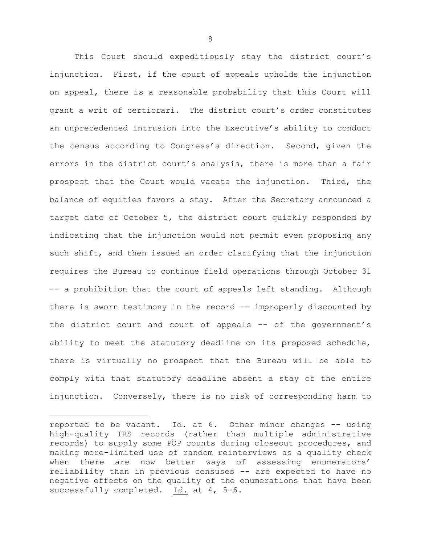This Court should expeditiously stay the district court's injunction. First, if the court of appeals upholds the injunction on appeal, there is a reasonable probability that this Court will grant a writ of certiorari. The district court's order constitutes an unprecedented intrusion into the Executive's ability to conduct the census according to Congress's direction. Second, given the errors in the district court's analysis, there is more than a fair prospect that the Court would vacate the injunction. Third, the balance of equities favors a stay. After the Secretary announced a target date of October 5, the district court quickly responded by indicating that the injunction would not permit even proposing any such shift, and then issued an order clarifying that the injunction requires the Bureau to continue field operations through October 31 -- a prohibition that the court of appeals left standing. Although there is sworn testimony in the record -- improperly discounted by the district court and court of appeals -- of the government's ability to meet the statutory deadline on its proposed schedule, there is virtually no prospect that the Bureau will be able to comply with that statutory deadline absent a stay of the entire injunction. Conversely, there is no risk of corresponding harm to

 $\overline{a}$ 

reported to be vacant. Id. at 6. Other minor changes -- using high-quality IRS records (rather than multiple administrative records) to supply some POP counts during closeout procedures, and making more-limited use of random reinterviews as a quality check when there are now better ways of assessing enumerators' reliability than in previous censuses -- are expected to have no negative effects on the quality of the enumerations that have been successfully completed. Id. at 4, 5-6.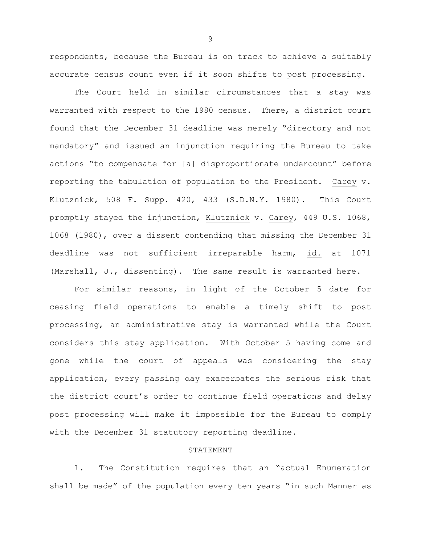respondents, because the Bureau is on track to achieve a suitably accurate census count even if it soon shifts to post processing.

The Court held in similar circumstances that a stay was warranted with respect to the 1980 census. There, a district court found that the December 31 deadline was merely "directory and not mandatory" and issued an injunction requiring the Bureau to take actions "to compensate for [a] disproportionate undercount" before reporting the tabulation of population to the President. Carey v. Klutznick, 508 F. Supp. 420, 433 (S.D.N.Y. 1980). This Court promptly stayed the injunction, Klutznick v. Carey, 449 U.S. 1068, 1068 (1980), over a dissent contending that missing the December 31 deadline was not sufficient irreparable harm, id. at 1071 (Marshall, J., dissenting). The same result is warranted here.

For similar reasons, in light of the October 5 date for ceasing field operations to enable a timely shift to post processing, an administrative stay is warranted while the Court considers this stay application. With October 5 having come and gone while the court of appeals was considering the stay application, every passing day exacerbates the serious risk that the district court's order to continue field operations and delay post processing will make it impossible for the Bureau to comply with the December 31 statutory reporting deadline.

# STATEMENT

1. The Constitution requires that an "actual Enumeration shall be made" of the population every ten years "in such Manner as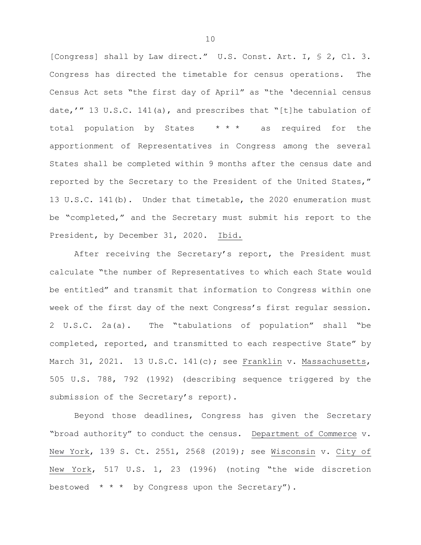[Congress] shall by Law direct." U.S. Const. Art. I, § 2, Cl. 3. Congress has directed the timetable for census operations. The Census Act sets "the first day of April" as "the 'decennial census date,'" 13 U.S.C. 141(a), and prescribes that "[t]he tabulation of total population by States  $* * *$  as required for the apportionment of Representatives in Congress among the several States shall be completed within 9 months after the census date and reported by the Secretary to the President of the United States," 13 U.S.C. 141(b). Under that timetable, the 2020 enumeration must be "completed," and the Secretary must submit his report to the President, by December 31, 2020. Ibid.

After receiving the Secretary's report, the President must calculate "the number of Representatives to which each State would be entitled" and transmit that information to Congress within one week of the first day of the next Congress's first regular session. 2 U.S.C. 2a(a). The "tabulations of population" shall "be completed, reported, and transmitted to each respective State" by March 31, 2021. 13 U.S.C. 141(c); see Franklin v. Massachusetts, 505 U.S. 788, 792 (1992) (describing sequence triggered by the submission of the Secretary's report).

Beyond those deadlines, Congress has given the Secretary "broad authority" to conduct the census. Department of Commerce v. New York, 139 S. Ct. 2551, 2568 (2019); see Wisconsin v. City of New York, 517 U.S. 1, 23 (1996) (noting "the wide discretion bestowed  $* * *$  by Congress upon the Secretary").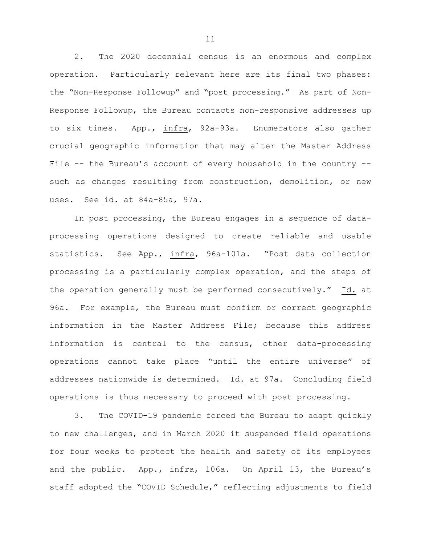2. The 2020 decennial census is an enormous and complex operation. Particularly relevant here are its final two phases: the "Non-Response Followup" and "post processing." As part of Non-Response Followup, the Bureau contacts non-responsive addresses up to six times. App., infra, 92a-93a. Enumerators also gather crucial geographic information that may alter the Master Address File -- the Bureau's account of every household in the country - such as changes resulting from construction, demolition, or new uses. See id. at 84a-85a, 97a.

In post processing, the Bureau engages in a sequence of dataprocessing operations designed to create reliable and usable statistics. See App., infra, 96a-101a. "Post data collection processing is a particularly complex operation, and the steps of the operation generally must be performed consecutively." Id. at 96a. For example, the Bureau must confirm or correct geographic information in the Master Address File; because this address information is central to the census, other data-processing operations cannot take place "until the entire universe" of addresses nationwide is determined. Id. at 97a. Concluding field operations is thus necessary to proceed with post processing.

3. The COVID-19 pandemic forced the Bureau to adapt quickly to new challenges, and in March 2020 it suspended field operations for four weeks to protect the health and safety of its employees and the public. App., infra, 106a. On April 13, the Bureau's staff adopted the "COVID Schedule," reflecting adjustments to field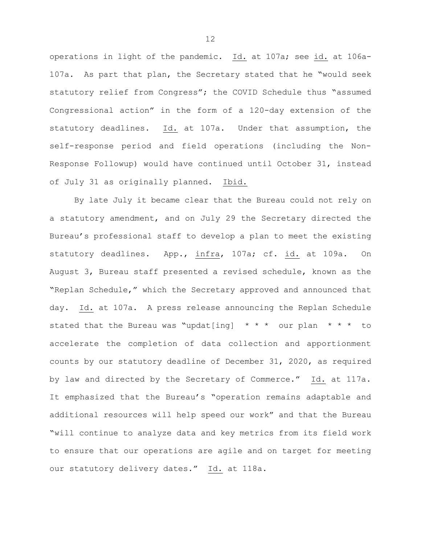operations in light of the pandemic. Id. at 107a; see id. at 106a-107a. As part that plan, the Secretary stated that he "would seek statutory relief from Congress"; the COVID Schedule thus "assumed Congressional action" in the form of a 120-day extension of the statutory deadlines. Id. at 107a. Under that assumption, the self-response period and field operations (including the Non-Response Followup) would have continued until October 31, instead of July 31 as originally planned. Ibid.

By late July it became clear that the Bureau could not rely on a statutory amendment, and on July 29 the Secretary directed the Bureau's professional staff to develop a plan to meet the existing statutory deadlines. App., infra, 107a; cf. id. at 109a. On August 3, Bureau staff presented a revised schedule, known as the "Replan Schedule," which the Secretary approved and announced that day. Id. at 107a. A press release announcing the Replan Schedule stated that the Bureau was "updat[ing]  $* * *$  our plan  $* * * *$  to accelerate the completion of data collection and apportionment counts by our statutory deadline of December 31, 2020, as required by law and directed by the Secretary of Commerce." Id. at 117a. It emphasized that the Bureau's "operation remains adaptable and additional resources will help speed our work" and that the Bureau "will continue to analyze data and key metrics from its field work to ensure that our operations are agile and on target for meeting our statutory delivery dates." Id. at 118a.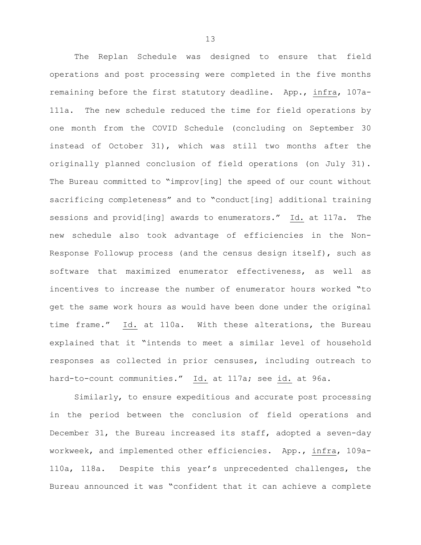The Replan Schedule was designed to ensure that field operations and post processing were completed in the five months remaining before the first statutory deadline. App., infra, 107a-111a. The new schedule reduced the time for field operations by one month from the COVID Schedule (concluding on September 30 instead of October 31), which was still two months after the originally planned conclusion of field operations (on July 31). The Bureau committed to "improv[ing] the speed of our count without sacrificing completeness" and to "conduct[ing] additional training sessions and provid[ing] awards to enumerators." Id. at 117a. The new schedule also took advantage of efficiencies in the Non-Response Followup process (and the census design itself), such as software that maximized enumerator effectiveness, as well as incentives to increase the number of enumerator hours worked "to get the same work hours as would have been done under the original time frame." Id. at 110a. With these alterations, the Bureau explained that it "intends to meet a similar level of household responses as collected in prior censuses, including outreach to hard-to-count communities." Id. at 117a; see id. at 96a.

Similarly, to ensure expeditious and accurate post processing in the period between the conclusion of field operations and December 31, the Bureau increased its staff, adopted a seven-day workweek, and implemented other efficiencies. App., infra, 109a-110a, 118a. Despite this year's unprecedented challenges, the Bureau announced it was "confident that it can achieve a complete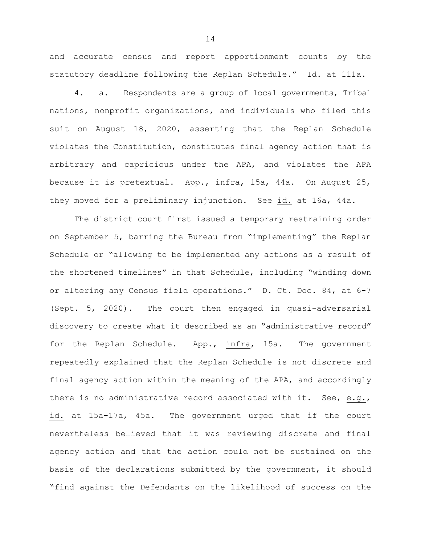and accurate census and report apportionment counts by the statutory deadline following the Replan Schedule." Id. at 111a.

4. a. Respondents are a group of local governments, Tribal nations, nonprofit organizations, and individuals who filed this suit on August 18, 2020, asserting that the Replan Schedule violates the Constitution, constitutes final agency action that is arbitrary and capricious under the APA, and violates the APA because it is pretextual. App., infra, 15a, 44a. On August 25, they moved for a preliminary injunction. See id. at 16a, 44a.

The district court first issued a temporary restraining order on September 5, barring the Bureau from "implementing" the Replan Schedule or "allowing to be implemented any actions as a result of the shortened timelines" in that Schedule, including "winding down or altering any Census field operations." D. Ct. Doc. 84, at 6-7 (Sept. 5, 2020). The court then engaged in quasi-adversarial discovery to create what it described as an "administrative record" for the Replan Schedule. App., infra, 15a. The government repeatedly explained that the Replan Schedule is not discrete and final agency action within the meaning of the APA, and accordingly there is no administrative record associated with it. See, e.g., id. at 15a-17a, 45a. The government urged that if the court nevertheless believed that it was reviewing discrete and final agency action and that the action could not be sustained on the basis of the declarations submitted by the government, it should "find against the Defendants on the likelihood of success on the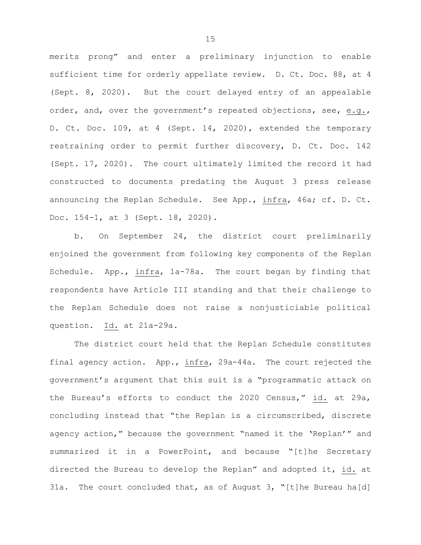merits prong" and enter a preliminary injunction to enable sufficient time for orderly appellate review. D. Ct. Doc. 88, at 4 (Sept. 8, 2020). But the court delayed entry of an appealable order, and, over the government's repeated objections, see, e.g., D. Ct. Doc. 109, at 4 (Sept. 14, 2020), extended the temporary restraining order to permit further discovery, D. Ct. Doc. 142 (Sept. 17, 2020). The court ultimately limited the record it had constructed to documents predating the August 3 press release announcing the Replan Schedule. See App., infra, 46a; cf. D. Ct. Doc. 154-1, at 3 (Sept. 18, 2020).

b. On September 24, the district court preliminarily enjoined the government from following key components of the Replan Schedule. App., infra, 1a-78a. The court began by finding that respondents have Article III standing and that their challenge to the Replan Schedule does not raise a nonjusticiable political question. Id. at 21a-29a.

The district court held that the Replan Schedule constitutes final agency action. App., infra, 29a-44a. The court rejected the government's argument that this suit is a "programmatic attack on the Bureau's efforts to conduct the 2020 Census," id. at 29a, concluding instead that "the Replan is a circumscribed, discrete agency action," because the government "named it the 'Replan'" and summarized it in a PowerPoint, and because "[t]he Secretary directed the Bureau to develop the Replan" and adopted it, id. at 31a. The court concluded that, as of August 3, "[t]he Bureau ha[d]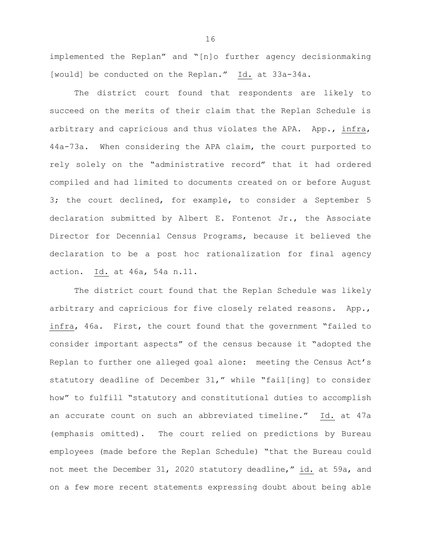implemented the Replan" and "[n]o further agency decisionmaking [would] be conducted on the Replan." Id. at 33a-34a.

The district court found that respondents are likely to succeed on the merits of their claim that the Replan Schedule is arbitrary and capricious and thus violates the APA. App., infra, 44a-73a. When considering the APA claim, the court purported to rely solely on the "administrative record" that it had ordered compiled and had limited to documents created on or before August 3; the court declined, for example, to consider a September 5 declaration submitted by Albert E. Fontenot Jr., the Associate Director for Decennial Census Programs, because it believed the declaration to be a post hoc rationalization for final agency action. Id. at 46a, 54a n.11.

The district court found that the Replan Schedule was likely arbitrary and capricious for five closely related reasons. App., infra, 46a. First, the court found that the government "failed to consider important aspects" of the census because it "adopted the Replan to further one alleged goal alone: meeting the Census Act's statutory deadline of December 31," while "fail[ing] to consider how" to fulfill "statutory and constitutional duties to accomplish an accurate count on such an abbreviated timeline." Id. at 47a (emphasis omitted). The court relied on predictions by Bureau employees (made before the Replan Schedule) "that the Bureau could not meet the December 31, 2020 statutory deadline," id. at 59a, and on a few more recent statements expressing doubt about being able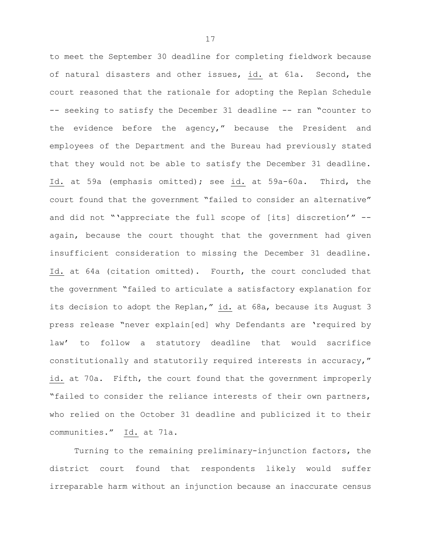to meet the September 30 deadline for completing fieldwork because of natural disasters and other issues, id. at 61a. Second, the court reasoned that the rationale for adopting the Replan Schedule -- seeking to satisfy the December 31 deadline -- ran "counter to the evidence before the agency," because the President and employees of the Department and the Bureau had previously stated that they would not be able to satisfy the December 31 deadline. Id. at 59a (emphasis omitted); see id. at 59a-60a. Third, the court found that the government "failed to consider an alternative" and did not "'appreciate the full scope of [its] discretion'" - again, because the court thought that the government had given insufficient consideration to missing the December 31 deadline. Id. at 64a (citation omitted). Fourth, the court concluded that the government "failed to articulate a satisfactory explanation for its decision to adopt the Replan," id. at 68a, because its August 3 press release "never explain[ed] why Defendants are 'required by law' to follow a statutory deadline that would sacrifice constitutionally and statutorily required interests in accuracy," id. at 70a. Fifth, the court found that the government improperly "failed to consider the reliance interests of their own partners, who relied on the October 31 deadline and publicized it to their communities." Id. at 71a.

Turning to the remaining preliminary-injunction factors, the district court found that respondents likely would suffer irreparable harm without an injunction because an inaccurate census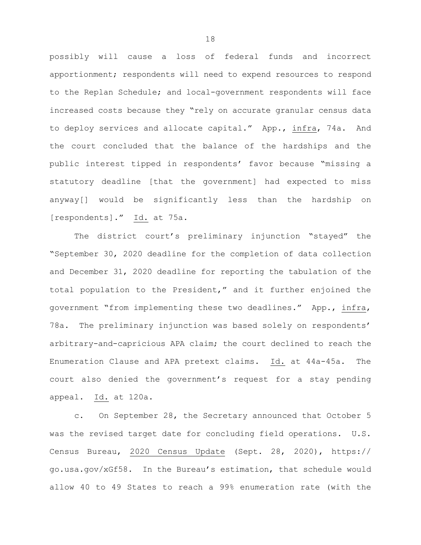possibly will cause a loss of federal funds and incorrect apportionment; respondents will need to expend resources to respond to the Replan Schedule; and local-government respondents will face increased costs because they "rely on accurate granular census data to deploy services and allocate capital." App., infra, 74a. And the court concluded that the balance of the hardships and the public interest tipped in respondents' favor because "missing a statutory deadline [that the government] had expected to miss anyway[] would be significantly less than the hardship on [respondents]." Id. at 75a.

The district court's preliminary injunction "stayed" the "September 30, 2020 deadline for the completion of data collection and December 31, 2020 deadline for reporting the tabulation of the total population to the President," and it further enjoined the government "from implementing these two deadlines." App., infra, 78a. The preliminary injunction was based solely on respondents' arbitrary-and-capricious APA claim; the court declined to reach the Enumeration Clause and APA pretext claims. Id. at 44a-45a. The court also denied the government's request for a stay pending appeal. Id. at 120a.

c. On September 28, the Secretary announced that October 5 was the revised target date for concluding field operations. U.S. Census Bureau, 2020 Census Update (Sept. 28, 2020), https:// go.usa.gov/xGf58. In the Bureau's estimation, that schedule would allow 40 to 49 States to reach a 99% enumeration rate (with the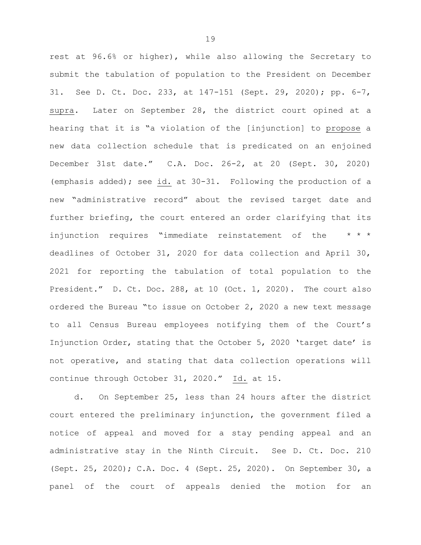rest at 96.6% or higher), while also allowing the Secretary to submit the tabulation of population to the President on December 31. See D. Ct. Doc. 233, at 147-151 (Sept. 29, 2020); pp. 6-7, supra. Later on September 28, the district court opined at a hearing that it is "a violation of the [injunction] to propose a new data collection schedule that is predicated on an enjoined December 31st date." C.A. Doc. 26-2, at 20 (Sept. 30, 2020) (emphasis added); see id. at 30-31. Following the production of a new "administrative record" about the revised target date and further briefing, the court entered an order clarifying that its injunction requires "immediate reinstatement of the  $* * *$ deadlines of October 31, 2020 for data collection and April 30, 2021 for reporting the tabulation of total population to the President." D. Ct. Doc. 288, at 10 (Oct. 1, 2020). The court also ordered the Bureau "to issue on October 2, 2020 a new text message to all Census Bureau employees notifying them of the Court's Injunction Order, stating that the October 5, 2020 'target date' is not operative, and stating that data collection operations will continue through October 31, 2020." Id. at 15.

d. On September 25, less than 24 hours after the district court entered the preliminary injunction, the government filed a notice of appeal and moved for a stay pending appeal and an administrative stay in the Ninth Circuit. See D. Ct. Doc. 210 (Sept. 25, 2020); C.A. Doc. 4 (Sept. 25, 2020). On September 30, a panel of the court of appeals denied the motion for an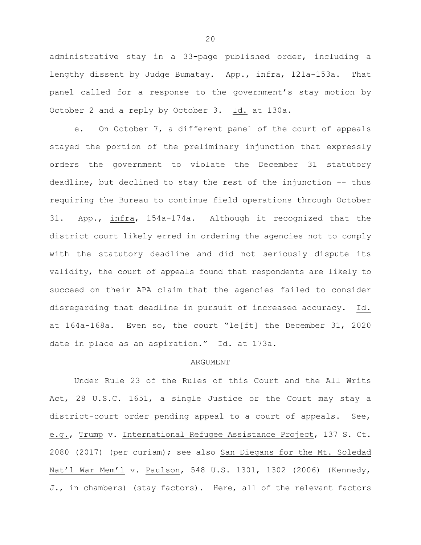administrative stay in a 33-page published order, including a lengthy dissent by Judge Bumatay. App., infra, 121a-153a. That panel called for a response to the government's stay motion by October 2 and a reply by October 3. Id. at 130a.

e. On October 7, a different panel of the court of appeals stayed the portion of the preliminary injunction that expressly orders the government to violate the December 31 statutory deadline, but declined to stay the rest of the injunction -- thus requiring the Bureau to continue field operations through October 31. App., infra, 154a-174a. Although it recognized that the district court likely erred in ordering the agencies not to comply with the statutory deadline and did not seriously dispute its validity, the court of appeals found that respondents are likely to succeed on their APA claim that the agencies failed to consider disregarding that deadline in pursuit of increased accuracy. Id. at 164a-168a. Even so, the court "le[ft] the December 31, 2020 date in place as an aspiration." Id. at 173a.

## ARGUMENT

Under Rule 23 of the Rules of this Court and the All Writs Act, 28 U.S.C. 1651, a single Justice or the Court may stay a district-court order pending appeal to a court of appeals. See, e.g., Trump v. International Refugee Assistance Project, 137 S. Ct. 2080 (2017) (per curiam); see also San Diegans for the Mt. Soledad Nat'l War Mem'l v. Paulson, 548 U.S. 1301, 1302 (2006) (Kennedy, J., in chambers) (stay factors). Here, all of the relevant factors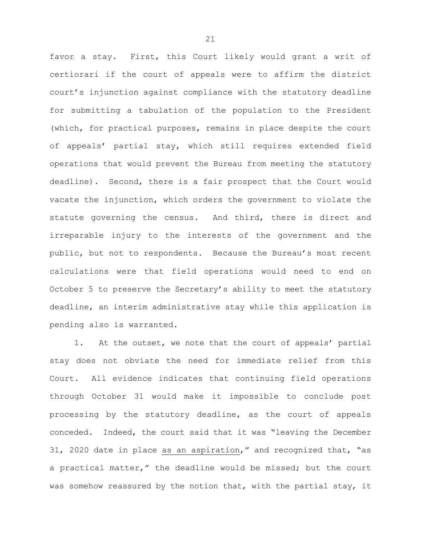favor a stay. First, this Court likely would grant a writ of certiorari if the court of appeals were to affirm the district court's injunction against compliance with the statutory deadline for submitting a tabulation of the population to the President (which, for practical purposes, remains in place despite the court of appeals' partial stay, which still requires extended field operations that would prevent the Bureau from meeting the statutory deadline). Second, there is a fair prospect that the Court would vacate the injunction, which orders the government to violate the statute governing the census. And third, there is direct and irreparable injury to the interests of the government and the public, but not to respondents. Because the Bureau's most recent calculations were that field operations would need to end on October 5 to preserve the Secretary's ability to meet the statutory deadline, an interim administrative stay while this application is pending also is warranted.

1. At the outset, we note that the court of appeals' partial stay does not obviate the need for immediate relief from this Court. All evidence indicates that continuing field operations through October 31 would make it impossible to conclude post processing by the statutory deadline, as the court of appeals conceded. Indeed, the court said that it was "leaving the December 31, 2020 date in place as an aspiration," and recognized that, "as a practical matter," the deadline would be missed; but the court was somehow reassured by the notion that, with the partial stay, it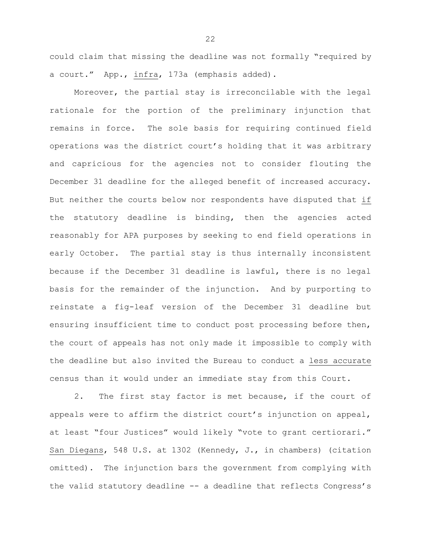could claim that missing the deadline was not formally "required by a court." App., infra, 173a (emphasis added).

Moreover, the partial stay is irreconcilable with the legal rationale for the portion of the preliminary injunction that remains in force. The sole basis for requiring continued field operations was the district court's holding that it was arbitrary and capricious for the agencies not to consider flouting the December 31 deadline for the alleged benefit of increased accuracy. But neither the courts below nor respondents have disputed that if the statutory deadline is binding, then the agencies acted reasonably for APA purposes by seeking to end field operations in early October. The partial stay is thus internally inconsistent because if the December 31 deadline is lawful, there is no legal basis for the remainder of the injunction. And by purporting to reinstate a fig-leaf version of the December 31 deadline but ensuring insufficient time to conduct post processing before then, the court of appeals has not only made it impossible to comply with the deadline but also invited the Bureau to conduct a less accurate census than it would under an immediate stay from this Court.

2. The first stay factor is met because, if the court of appeals were to affirm the district court's injunction on appeal, at least "four Justices" would likely "vote to grant certiorari." San Diegans, 548 U.S. at 1302 (Kennedy, J., in chambers) (citation omitted). The injunction bars the government from complying with the valid statutory deadline -- a deadline that reflects Congress's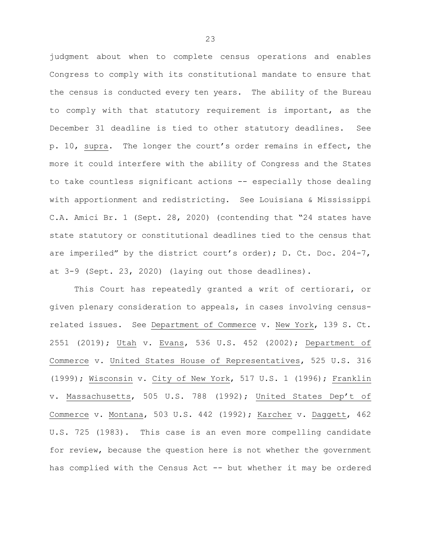judgment about when to complete census operations and enables Congress to comply with its constitutional mandate to ensure that the census is conducted every ten years. The ability of the Bureau to comply with that statutory requirement is important, as the December 31 deadline is tied to other statutory deadlines. See p. 10, supra. The longer the court's order remains in effect, the more it could interfere with the ability of Congress and the States to take countless significant actions -- especially those dealing with apportionment and redistricting. See Louisiana & Mississippi C.A. Amici Br. 1 (Sept. 28, 2020) (contending that "24 states have state statutory or constitutional deadlines tied to the census that are imperiled" by the district court's order); D. Ct. Doc. 204-7, at 3-9 (Sept. 23, 2020) (laying out those deadlines).

This Court has repeatedly granted a writ of certiorari, or given plenary consideration to appeals, in cases involving censusrelated issues. See Department of Commerce v. New York, 139 S. Ct. 2551 (2019); Utah v. Evans, 536 U.S. 452 (2002); Department of Commerce v. United States House of Representatives, 525 U.S. 316 (1999); Wisconsin v. City of New York, 517 U.S. 1 (1996); Franklin v. Massachusetts, 505 U.S. 788 (1992); United States Dep't of Commerce v. Montana, 503 U.S. 442 (1992); Karcher v. Daggett, 462 U.S. 725 (1983). This case is an even more compelling candidate for review, because the question here is not whether the government has complied with the Census Act -- but whether it may be ordered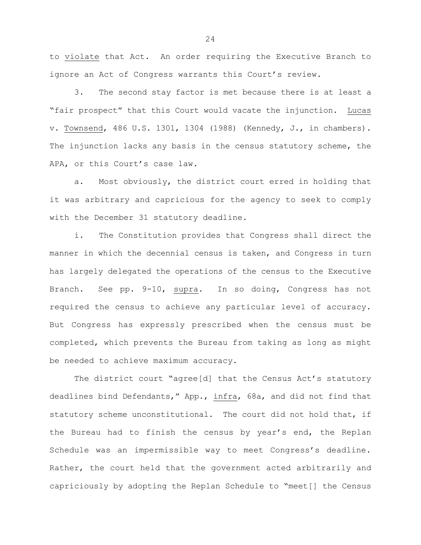to violate that Act. An order requiring the Executive Branch to ignore an Act of Congress warrants this Court's review.

3. The second stay factor is met because there is at least a "fair prospect" that this Court would vacate the injunction. Lucas v. Townsend, 486 U.S. 1301, 1304 (1988) (Kennedy, J., in chambers). The injunction lacks any basis in the census statutory scheme, the APA, or this Court's case law.

a. Most obviously, the district court erred in holding that it was arbitrary and capricious for the agency to seek to comply with the December 31 statutory deadline.

i. The Constitution provides that Congress shall direct the manner in which the decennial census is taken, and Congress in turn has largely delegated the operations of the census to the Executive Branch. See pp. 9-10, supra. In so doing, Congress has not required the census to achieve any particular level of accuracy. But Congress has expressly prescribed when the census must be completed, which prevents the Bureau from taking as long as might be needed to achieve maximum accuracy.

The district court "agree[d] that the Census Act's statutory deadlines bind Defendants," App., infra, 68a, and did not find that statutory scheme unconstitutional. The court did not hold that, if the Bureau had to finish the census by year's end, the Replan Schedule was an impermissible way to meet Congress's deadline. Rather, the court held that the government acted arbitrarily and capriciously by adopting the Replan Schedule to "meet[] the Census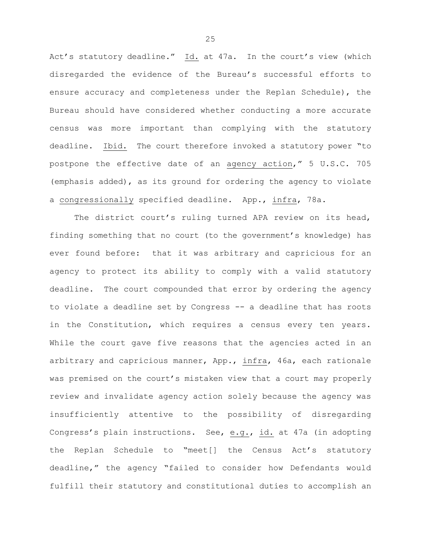Act's statutory deadline." Id. at 47a. In the court's view (which disregarded the evidence of the Bureau's successful efforts to ensure accuracy and completeness under the Replan Schedule), the Bureau should have considered whether conducting a more accurate census was more important than complying with the statutory deadline. Ibid. The court therefore invoked a statutory power "to postpone the effective date of an agency action," 5 U.S.C. 705 (emphasis added), as its ground for ordering the agency to violate a congressionally specified deadline. App., infra, 78a.

The district court's ruling turned APA review on its head, finding something that no court (to the government's knowledge) has ever found before: that it was arbitrary and capricious for an agency to protect its ability to comply with a valid statutory deadline. The court compounded that error by ordering the agency to violate a deadline set by Congress -- a deadline that has roots in the Constitution, which requires a census every ten years. While the court gave five reasons that the agencies acted in an arbitrary and capricious manner, App., infra, 46a, each rationale was premised on the court's mistaken view that a court may properly review and invalidate agency action solely because the agency was insufficiently attentive to the possibility of disregarding Congress's plain instructions. See, e.g., id. at 47a (in adopting the Replan Schedule to "meet[] the Census Act's statutory deadline," the agency "failed to consider how Defendants would fulfill their statutory and constitutional duties to accomplish an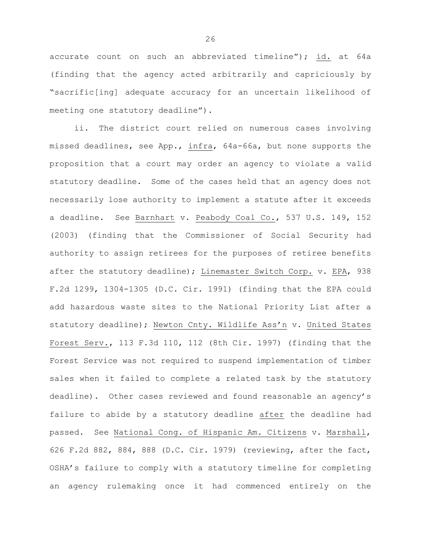accurate count on such an abbreviated timeline"); id. at 64a (finding that the agency acted arbitrarily and capriciously by "sacrific[ing] adequate accuracy for an uncertain likelihood of meeting one statutory deadline").

ii. The district court relied on numerous cases involving missed deadlines, see App., infra, 64a-66a, but none supports the proposition that a court may order an agency to violate a valid statutory deadline. Some of the cases held that an agency does not necessarily lose authority to implement a statute after it exceeds a deadline. See Barnhart v. Peabody Coal Co., 537 U.S. 149, 152 (2003) (finding that the Commissioner of Social Security had authority to assign retirees for the purposes of retiree benefits after the statutory deadline); Linemaster Switch Corp. v. EPA, 938 F.2d 1299, 1304-1305 (D.C. Cir. 1991) (finding that the EPA could add hazardous waste sites to the National Priority List after a statutory deadline); Newton Cnty. Wildlife Ass'n v. United States Forest Serv., 113 F.3d 110, 112 (8th Cir. 1997) (finding that the Forest Service was not required to suspend implementation of timber sales when it failed to complete a related task by the statutory deadline). Other cases reviewed and found reasonable an agency's failure to abide by a statutory deadline after the deadline had passed. See National Cong. of Hispanic Am. Citizens v. Marshall, 626 F.2d 882, 884, 888 (D.C. Cir. 1979) (reviewing, after the fact, OSHA's failure to comply with a statutory timeline for completing an agency rulemaking once it had commenced entirely on the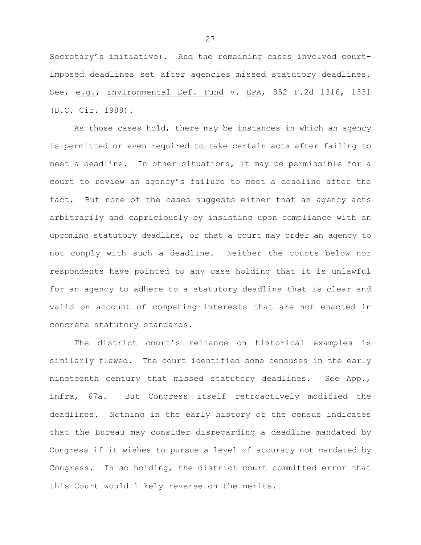Secretary's initiative). And the remaining cases involved courtimposed deadlines set after agencies missed statutory deadlines. See, e.g., Environmental Def. Fund v. EPA, 852 F.2d 1316, 1331 (D.C. Cir. 1988).

As those cases hold, there may be instances in which an agency is permitted or even required to take certain acts after failing to meet a deadline. In other situations, it may be permissible for a court to review an agency's failure to meet a deadline after the fact. But none of the cases suggests either that an agency acts arbitrarily and capriciously by insisting upon compliance with an upcoming statutory deadline, or that a court may order an agency to not comply with such a deadline. Neither the courts below nor respondents have pointed to any case holding that it is unlawful for an agency to adhere to a statutory deadline that is clear and valid on account of competing interests that are not enacted in concrete statutory standards.

The district court's reliance on historical examples is similarly flawed. The court identified some censuses in the early nineteenth century that missed statutory deadlines. See App., infra, 67a. But Congress itself retroactively modified the deadlines. Nothing in the early history of the census indicates that the Bureau may consider disregarding a deadline mandated by Congress if it wishes to pursue a level of accuracy not mandated by Congress. In so holding, the district court committed error that this Court would likely reverse on the merits.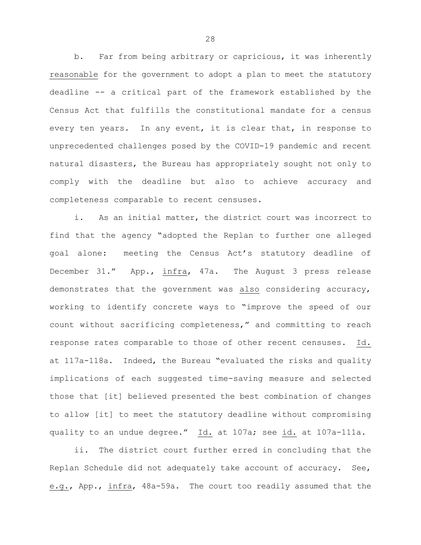b. Far from being arbitrary or capricious, it was inherently reasonable for the government to adopt a plan to meet the statutory deadline -- a critical part of the framework established by the Census Act that fulfills the constitutional mandate for a census every ten years. In any event, it is clear that, in response to unprecedented challenges posed by the COVID-19 pandemic and recent natural disasters, the Bureau has appropriately sought not only to comply with the deadline but also to achieve accuracy and completeness comparable to recent censuses.

i. As an initial matter, the district court was incorrect to find that the agency "adopted the Replan to further one alleged goal alone: meeting the Census Act's statutory deadline of December 31." App., infra, 47a. The August 3 press release demonstrates that the government was also considering accuracy, working to identify concrete ways to "improve the speed of our count without sacrificing completeness," and committing to reach response rates comparable to those of other recent censuses. Id. at 117a-118a. Indeed, the Bureau "evaluated the risks and quality implications of each suggested time-saving measure and selected those that [it] believed presented the best combination of changes to allow [it] to meet the statutory deadline without compromising quality to an undue degree." Id. at 107a; see id. at 107a-111a.

ii. The district court further erred in concluding that the Replan Schedule did not adequately take account of accuracy. See, e.g., App., infra, 48a-59a. The court too readily assumed that the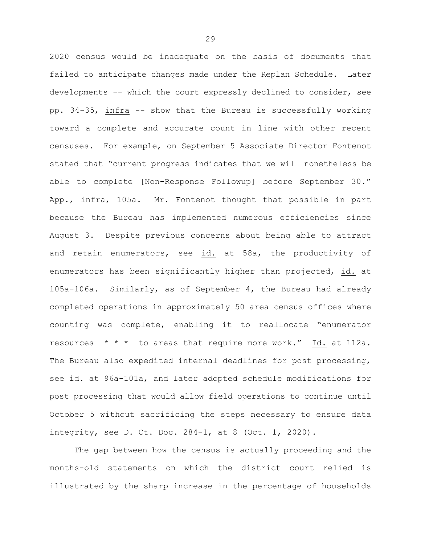2020 census would be inadequate on the basis of documents that failed to anticipate changes made under the Replan Schedule. Later developments -- which the court expressly declined to consider, see pp. 34-35, infra -- show that the Bureau is successfully working toward a complete and accurate count in line with other recent censuses. For example, on September 5 Associate Director Fontenot stated that "current progress indicates that we will nonetheless be able to complete [Non-Response Followup] before September 30." App., infra, 105a. Mr. Fontenot thought that possible in part because the Bureau has implemented numerous efficiencies since August 3. Despite previous concerns about being able to attract and retain enumerators, see id. at 58a, the productivity of enumerators has been significantly higher than projected, id. at 105a-106a. Similarly, as of September 4, the Bureau had already completed operations in approximately 50 area census offices where counting was complete, enabling it to reallocate "enumerator resources  $* * *$  to areas that require more work." Id. at 112a. The Bureau also expedited internal deadlines for post processing, see id. at 96a-101a, and later adopted schedule modifications for post processing that would allow field operations to continue until October 5 without sacrificing the steps necessary to ensure data integrity, see D. Ct. Doc. 284-1, at 8 (Oct. 1, 2020).

The gap between how the census is actually proceeding and the months-old statements on which the district court relied is illustrated by the sharp increase in the percentage of households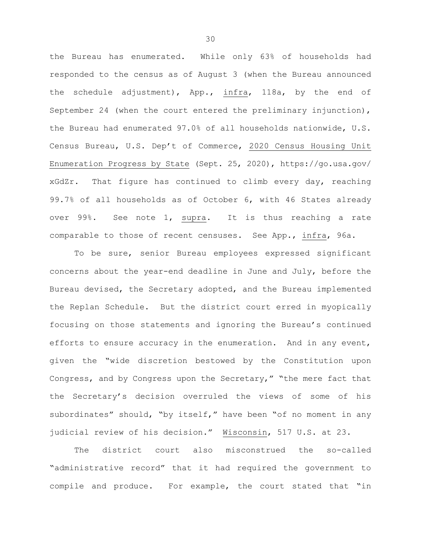the Bureau has enumerated. While only 63% of households had responded to the census as of August 3 (when the Bureau announced the schedule adjustment), App., infra, 118a, by the end of September 24 (when the court entered the preliminary injunction), the Bureau had enumerated 97.0% of all households nationwide, U.S. Census Bureau, U.S. Dep't of Commerce, 2020 Census Housing Unit Enumeration Progress by State (Sept. 25, 2020), https://go.usa.gov/ xGdZr. That figure has continued to climb every day, reaching 99.7% of all households as of October 6, with 46 States already over 99%. See note 1, supra. It is thus reaching a rate comparable to those of recent censuses. See App., infra, 96a.

To be sure, senior Bureau employees expressed significant concerns about the year-end deadline in June and July, before the Bureau devised, the Secretary adopted, and the Bureau implemented the Replan Schedule. But the district court erred in myopically focusing on those statements and ignoring the Bureau's continued efforts to ensure accuracy in the enumeration. And in any event, given the "wide discretion bestowed by the Constitution upon Congress, and by Congress upon the Secretary," "the mere fact that the Secretary's decision overruled the views of some of his subordinates" should, "by itself," have been "of no moment in any judicial review of his decision." Wisconsin, 517 U.S. at 23.

The district court also misconstrued the so-called "administrative record" that it had required the government to compile and produce. For example, the court stated that "in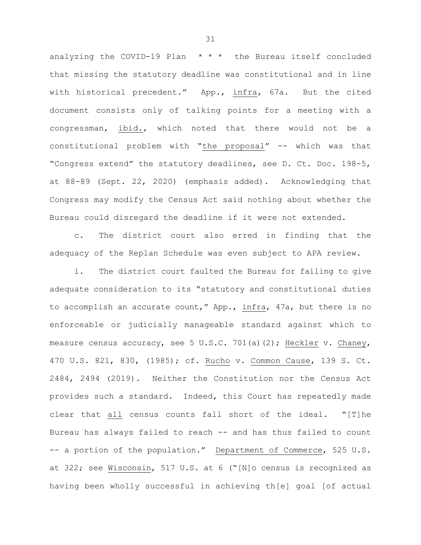analyzing the COVID-19 Plan \* \* \* the Bureau itself concluded that missing the statutory deadline was constitutional and in line with historical precedent." App., infra, 67a. But the cited document consists only of talking points for a meeting with a congressman, ibid., which noted that there would not be a constitutional problem with "the proposal" -- which was that "Congress extend" the statutory deadlines, see D. Ct. Doc. 198-5, at 88-89 (Sept. 22, 2020) (emphasis added). Acknowledging that Congress may modify the Census Act said nothing about whether the Bureau could disregard the deadline if it were not extended.

c. The district court also erred in finding that the adequacy of the Replan Schedule was even subject to APA review.

i. The district court faulted the Bureau for failing to give adequate consideration to its "statutory and constitutional duties to accomplish an accurate count," App., infra, 47a, but there is no enforceable or judicially manageable standard against which to measure census accuracy, see 5 U.S.C. 701(a)(2); Heckler v. Chaney, 470 U.S. 821, 830, (1985); cf. Rucho v. Common Cause, 139 S. Ct. 2484, 2494 (2019). Neither the Constitution nor the Census Act provides such a standard. Indeed, this Court has repeatedly made clear that all census counts fall short of the ideal. "[T]he Bureau has always failed to reach -- and has thus failed to count -- a portion of the population." Department of Commerce, 525 U.S. at 322; see Wisconsin, 517 U.S. at 6 ("[N]o census is recognized as having been wholly successful in achieving th[e] goal [of actual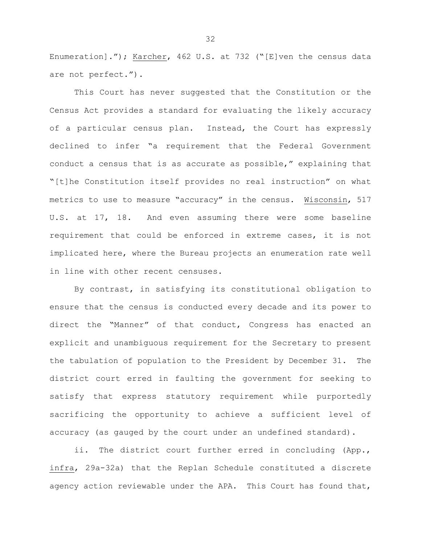Enumeration]."); Karcher, 462 U.S. at 732 ("[E]ven the census data are not perfect.").

This Court has never suggested that the Constitution or the Census Act provides a standard for evaluating the likely accuracy of a particular census plan. Instead, the Court has expressly declined to infer "a requirement that the Federal Government conduct a census that is as accurate as possible," explaining that "[t]he Constitution itself provides no real instruction" on what metrics to use to measure "accuracy" in the census. Wisconsin, 517 U.S. at 17, 18. And even assuming there were some baseline requirement that could be enforced in extreme cases, it is not implicated here, where the Bureau projects an enumeration rate well in line with other recent censuses.

By contrast, in satisfying its constitutional obligation to ensure that the census is conducted every decade and its power to direct the "Manner" of that conduct, Congress has enacted an explicit and unambiguous requirement for the Secretary to present the tabulation of population to the President by December 31. The district court erred in faulting the government for seeking to satisfy that express statutory requirement while purportedly sacrificing the opportunity to achieve a sufficient level of accuracy (as gauged by the court under an undefined standard).

ii. The district court further erred in concluding (App., infra, 29a-32a) that the Replan Schedule constituted a discrete agency action reviewable under the APA. This Court has found that,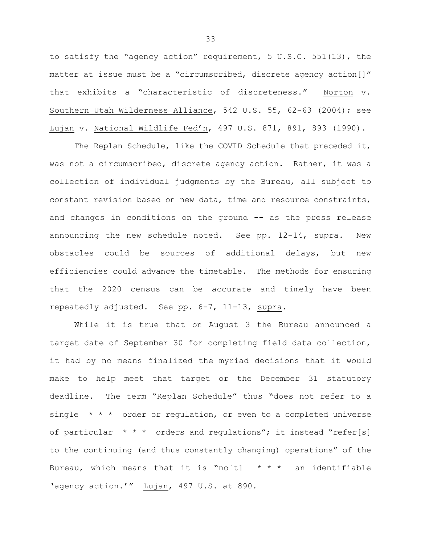to satisfy the "agency action" requirement, 5 U.S.C. 551(13), the matter at issue must be a "circumscribed, discrete agency action[]" that exhibits a "characteristic of discreteness." Norton v. Southern Utah Wilderness Alliance, 542 U.S. 55, 62-63 (2004); see Lujan v. National Wildlife Fed'n, 497 U.S. 871, 891, 893 (1990).

The Replan Schedule, like the COVID Schedule that preceded it, was not a circumscribed, discrete agency action. Rather, it was a collection of individual judgments by the Bureau, all subject to constant revision based on new data, time and resource constraints, and changes in conditions on the ground -- as the press release announcing the new schedule noted. See pp. 12-14, supra. New obstacles could be sources of additional delays, but new efficiencies could advance the timetable. The methods for ensuring that the 2020 census can be accurate and timely have been repeatedly adjusted. See pp. 6-7, 11-13, supra.

While it is true that on August 3 the Bureau announced a target date of September 30 for completing field data collection, it had by no means finalized the myriad decisions that it would make to help meet that target or the December 31 statutory deadline. The term "Replan Schedule" thus "does not refer to a single \* \* \* order or regulation, or even to a completed universe of particular  $* * *$  orders and regulations"; it instead "refer[s] to the continuing (and thus constantly changing) operations" of the Bureau, which means that it is "no[t]  $* * *$  an identifiable 'agency action.'" Lujan, 497 U.S. at 890.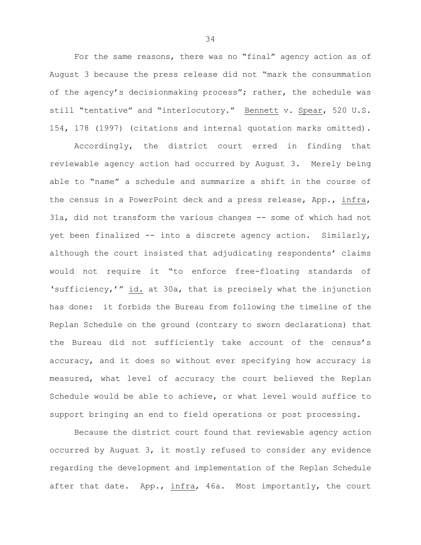For the same reasons, there was no "final" agency action as of August 3 because the press release did not "mark the consummation of the agency's decisionmaking process"; rather, the schedule was still "tentative" and "interlocutory." Bennett v. Spear, 520 U.S. 154, 178 (1997) (citations and internal quotation marks omitted).

Accordingly, the district court erred in finding that reviewable agency action had occurred by August 3. Merely being able to "name" a schedule and summarize a shift in the course of the census in a PowerPoint deck and a press release, App., infra, 31a, did not transform the various changes -- some of which had not yet been finalized -- into a discrete agency action. Similarly, although the court insisted that adjudicating respondents' claims would not require it "to enforce free-floating standards of 'sufficiency,'" id. at 30a, that is precisely what the injunction has done: it forbids the Bureau from following the timeline of the Replan Schedule on the ground (contrary to sworn declarations) that the Bureau did not sufficiently take account of the census's accuracy, and it does so without ever specifying how accuracy is measured, what level of accuracy the court believed the Replan Schedule would be able to achieve, or what level would suffice to support bringing an end to field operations or post processing.

Because the district court found that reviewable agency action occurred by August 3, it mostly refused to consider any evidence regarding the development and implementation of the Replan Schedule after that date. App., infra, 46a. Most importantly, the court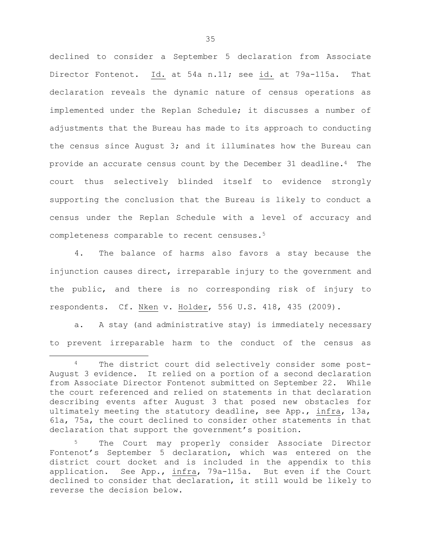declined to consider a September 5 declaration from Associate Director Fontenot. Id. at 54a n.11; see id. at 79a-115a. That declaration reveals the dynamic nature of census operations as implemented under the Replan Schedule; it discusses a number of adjustments that the Bureau has made to its approach to conducting the census since August 3; and it illuminates how the Bureau can provide an accurate census count by the December 31 deadline.4 The court thus selectively blinded itself to evidence strongly supporting the conclusion that the Bureau is likely to conduct a census under the Replan Schedule with a level of accuracy and completeness comparable to recent censuses.5

4. The balance of harms also favors a stay because the injunction causes direct, irreparable injury to the government and the public, and there is no corresponding risk of injury to respondents. Cf. Nken v. Holder, 556 U.S. 418, 435 (2009).

a. A stay (and administrative stay) is immediately necessary to prevent irreparable harm to the conduct of the census as

 $\overline{a}$ 

The district court did selectively consider some post-August 3 evidence. It relied on a portion of a second declaration from Associate Director Fontenot submitted on September 22. While the court referenced and relied on statements in that declaration describing events after August 3 that posed new obstacles for ultimately meeting the statutory deadline, see App., infra, 13a, 61a, 75a, the court declined to consider other statements in that declaration that support the government's position.

The Court may properly consider Associate Director Fontenot's September 5 declaration, which was entered on the district court docket and is included in the appendix to this application. See App., infra, 79a-115a. But even if the Court declined to consider that declaration, it still would be likely to reverse the decision below.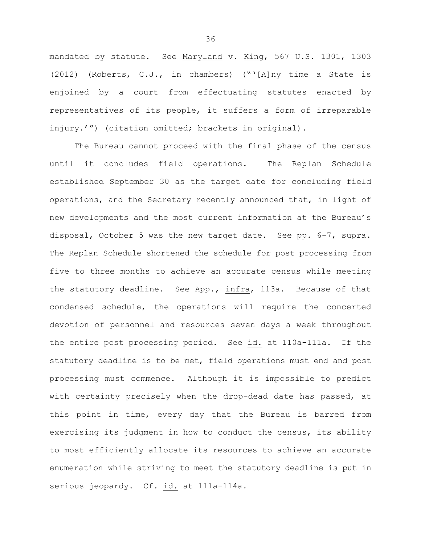mandated by statute. See Maryland v. King, 567 U.S. 1301, 1303 (2012) (Roberts, C.J., in chambers) ("'[A]ny time a State is enjoined by a court from effectuating statutes enacted by representatives of its people, it suffers a form of irreparable injury.'") (citation omitted; brackets in original).

The Bureau cannot proceed with the final phase of the census until it concludes field operations. The Replan Schedule established September 30 as the target date for concluding field operations, and the Secretary recently announced that, in light of new developments and the most current information at the Bureau's disposal, October 5 was the new target date. See pp. 6-7, supra. The Replan Schedule shortened the schedule for post processing from five to three months to achieve an accurate census while meeting the statutory deadline. See App., infra, 113a. Because of that condensed schedule, the operations will require the concerted devotion of personnel and resources seven days a week throughout the entire post processing period. See id. at 110a-111a. If the statutory deadline is to be met, field operations must end and post processing must commence. Although it is impossible to predict with certainty precisely when the drop-dead date has passed, at this point in time, every day that the Bureau is barred from exercising its judgment in how to conduct the census, its ability to most efficiently allocate its resources to achieve an accurate enumeration while striving to meet the statutory deadline is put in serious jeopardy. Cf. id. at 111a-114a.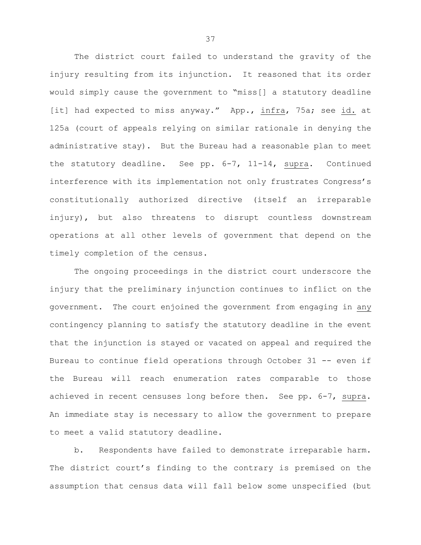The district court failed to understand the gravity of the injury resulting from its injunction. It reasoned that its order would simply cause the government to "miss[] a statutory deadline [it] had expected to miss anyway." App., infra, 75a; see id. at 125a (court of appeals relying on similar rationale in denying the administrative stay). But the Bureau had a reasonable plan to meet the statutory deadline. See pp. 6-7, 11-14, supra. Continued interference with its implementation not only frustrates Congress's constitutionally authorized directive (itself an irreparable injury), but also threatens to disrupt countless downstream operations at all other levels of government that depend on the timely completion of the census.

The ongoing proceedings in the district court underscore the injury that the preliminary injunction continues to inflict on the government. The court enjoined the government from engaging in any contingency planning to satisfy the statutory deadline in the event that the injunction is stayed or vacated on appeal and required the Bureau to continue field operations through October 31 -- even if the Bureau will reach enumeration rates comparable to those achieved in recent censuses long before then. See pp. 6-7, supra. An immediate stay is necessary to allow the government to prepare to meet a valid statutory deadline.

b. Respondents have failed to demonstrate irreparable harm. The district court's finding to the contrary is premised on the assumption that census data will fall below some unspecified (but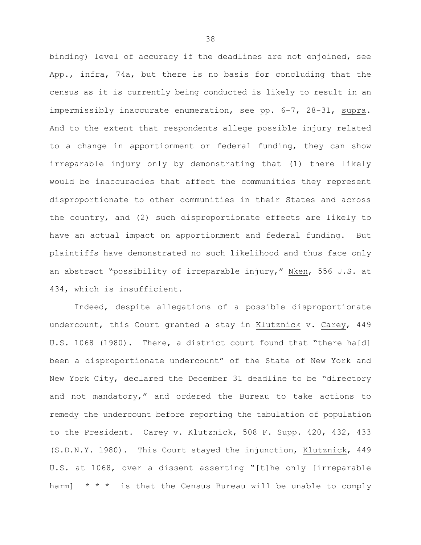binding) level of accuracy if the deadlines are not enjoined, see App., infra, 74a, but there is no basis for concluding that the census as it is currently being conducted is likely to result in an impermissibly inaccurate enumeration, see pp. 6-7, 28-31, supra. And to the extent that respondents allege possible injury related to a change in apportionment or federal funding, they can show irreparable injury only by demonstrating that (1) there likely would be inaccuracies that affect the communities they represent disproportionate to other communities in their States and across the country, and (2) such disproportionate effects are likely to have an actual impact on apportionment and federal funding. But plaintiffs have demonstrated no such likelihood and thus face only an abstract "possibility of irreparable injury," Nken, 556 U.S. at 434, which is insufficient.

Indeed, despite allegations of a possible disproportionate undercount, this Court granted a stay in Klutznick v. Carey, 449 U.S. 1068 (1980). There, a district court found that "there ha[d] been a disproportionate undercount" of the State of New York and New York City, declared the December 31 deadline to be "directory and not mandatory," and ordered the Bureau to take actions to remedy the undercount before reporting the tabulation of population to the President. Carey v. Klutznick, 508 F. Supp. 420, 432, 433 (S.D.N.Y. 1980). This Court stayed the injunction, Klutznick, 449 U.S. at 1068, over a dissent asserting "[t]he only [irreparable harm]  $* * *$  is that the Census Bureau will be unable to comply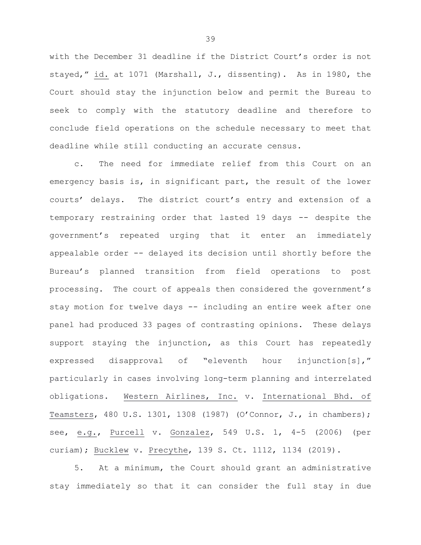with the December 31 deadline if the District Court's order is not stayed," id. at 1071 (Marshall, J., dissenting). As in 1980, the Court should stay the injunction below and permit the Bureau to seek to comply with the statutory deadline and therefore to conclude field operations on the schedule necessary to meet that deadline while still conducting an accurate census.

c. The need for immediate relief from this Court on an emergency basis is, in significant part, the result of the lower courts' delays. The district court's entry and extension of a temporary restraining order that lasted 19 days -- despite the government's repeated urging that it enter an immediately appealable order -- delayed its decision until shortly before the Bureau's planned transition from field operations to post processing. The court of appeals then considered the government's stay motion for twelve days -- including an entire week after one panel had produced 33 pages of contrasting opinions. These delays support staying the injunction, as this Court has repeatedly expressed disapproval of "eleventh hour injunction[s]," particularly in cases involving long-term planning and interrelated obligations. Western Airlines, Inc. v. International Bhd. of Teamsters, 480 U.S. 1301, 1308 (1987) (O'Connor, J., in chambers); see, e.g., Purcell v. Gonzalez, 549 U.S. 1, 4-5 (2006) (per curiam); Bucklew v. Precythe, 139 S. Ct. 1112, 1134 (2019).

5. At a minimum, the Court should grant an administrative stay immediately so that it can consider the full stay in due